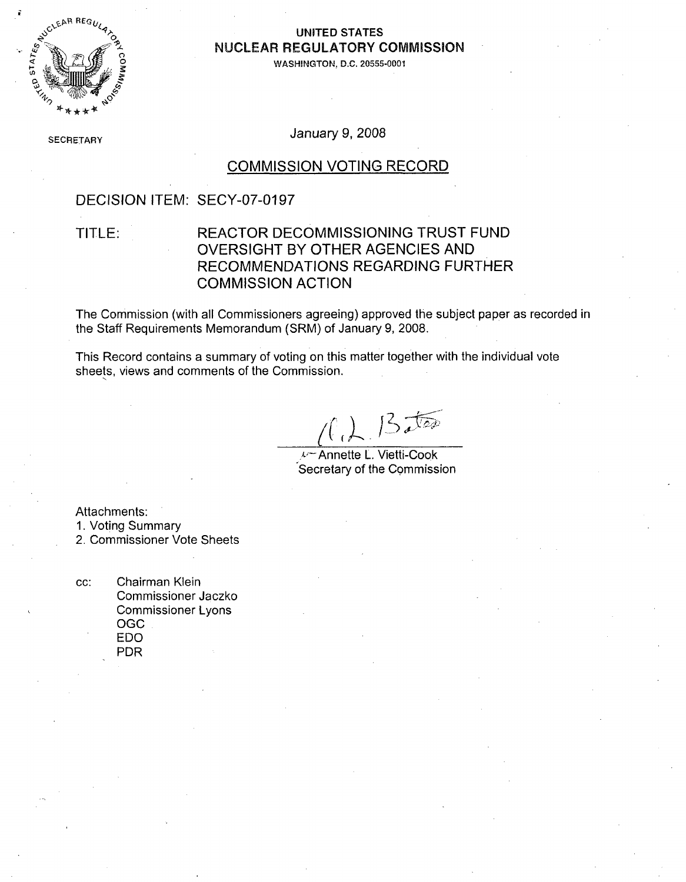

#### **\$1 CI ýýP RE,-t,4UNITED STATES** 4. **NUCLEAR** REGULATORY **COMMISSION**

**I WASHINGTON, D.C. 20555-0001**

**SECRETARY January 9, 2008** 

#### **COMMISSION VOTING** RECORD

### **DECISION** ITEM: **SECY-07-0197**

#### TITLE: REACTOR **DECOMMISSIONING** TRUST **FUND** OVERSIGHT BY OTHER **AGENCIES AND RECOMMENDATIONS** REGARDING FURTHER **COMMISSION ACTION**

The Commission (with all Commissioners agreeing) approved the subject paper as recorded in the Staff Requirements Memorandum (SRM) of January **9, 2008.**

This Record contains a summary of voting on this matter together with the individual vote sheets, views and comments of the Commission.

 $162.13250$ 

*i***-Annette L. Vietti-Cook** Secretary of the Commission

Attachments:

**1.** Voting Summary

2. Commissioner Vote Sheets

**cc:** Chairman Klein Commissioner Jaczko Commissioner Lyons **OGC EDO** PDR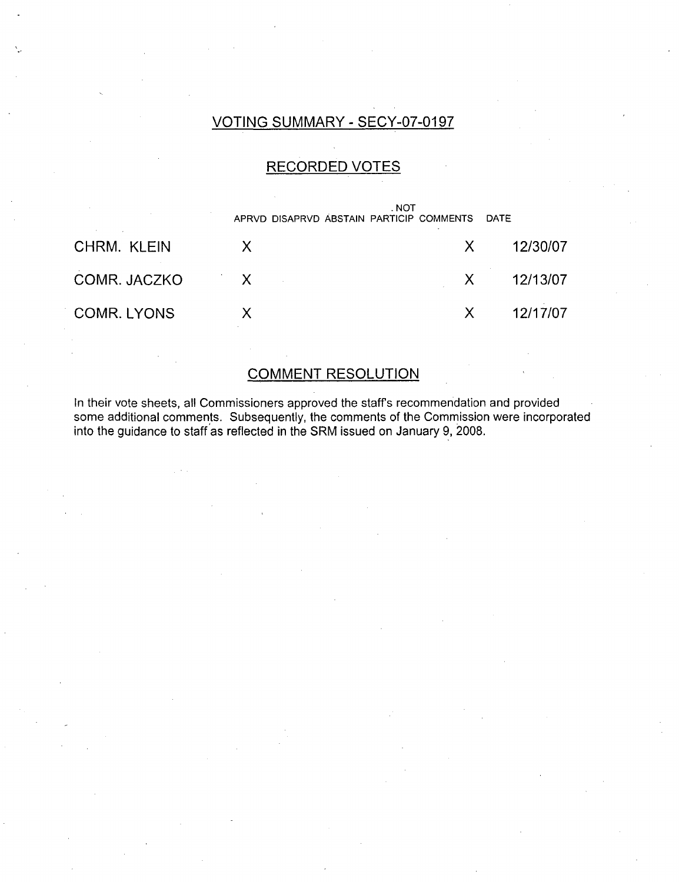### **VOTING** SUMMARY **- SECY-07-01 97**

### RECORDED **VOTES**

|              |   | . NOT<br>APRVD DISAPRVD ABSTAIN PARTICIP COMMENTS DATE |          |
|--------------|---|--------------------------------------------------------|----------|
| CHRM. KLEIN  |   | X                                                      | 12/30/07 |
| COMR. JACZKO | X | $\mathsf{X}$                                           | 12/13/07 |
| COMR. LYONS  |   | X.                                                     | 12/17/07 |

### **COMMENT RESOLUTION**

In their vote sheets, all Commissioners approved the staffs recommendation and provided some additional comments. Subsequently, the comments of the Commission were incorporated into the guidance to staff as reflected in the SRM issued on January **9, 2008.**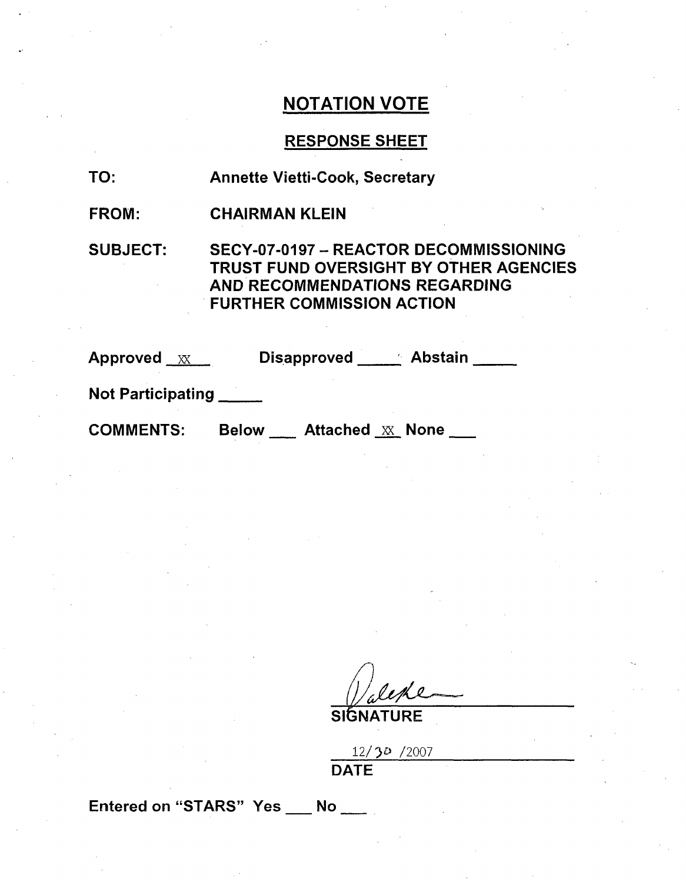## **NOTATION** VOTE

#### **RESPONSE SHEET**

| TO: | <b>Annette Vietti-Cook, Secretary</b> |  |
|-----|---------------------------------------|--|
|     |                                       |  |

FROM: CHAIRMAN **KLEIN**

**SUBJECT: SECY-07-0197 -** REACTOR **DECOMMISSIONING** TRUST **FUND** OVERSIGHT BY OTHER **AGENCIES AND RECOMMENDATIONS** REGARDING FURTHER **COMMISSION ACTION**

Approved  $\underline{\mathbf{x}}$  Disapproved Abstain

Not Participating

COMMENTS: Below Attached XX None

I **), I** SIGNATURE

| 12/30/2007  |  |  |
|-------------|--|--|
| <b>DATE</b> |  |  |

Entered on "STARS" Yes No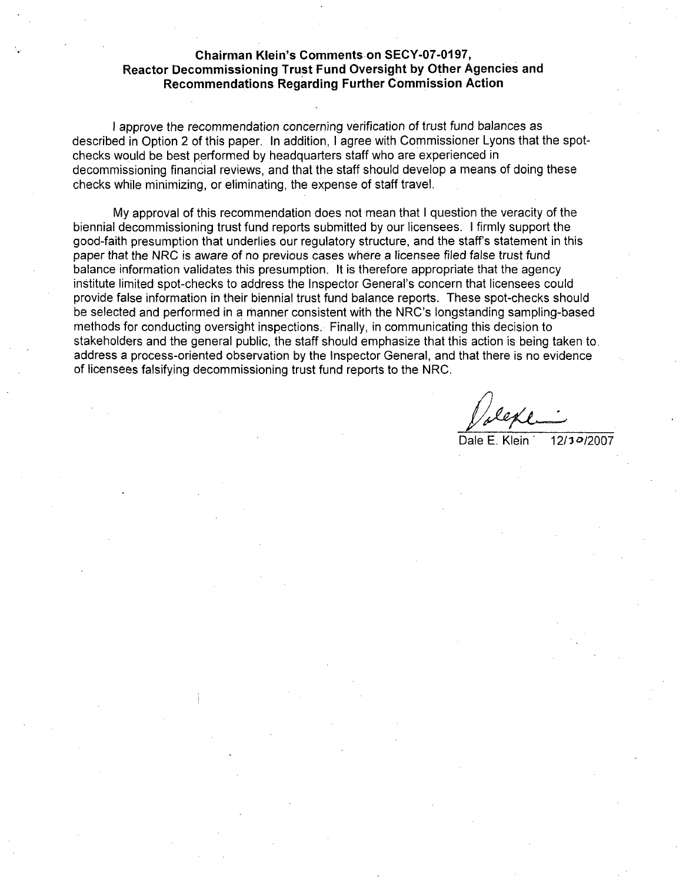#### **Chairman Klein's Comments on SECY-07-O1 97, Reactor Decommissioning Trust Fund Oversight by Other Agencies and Recommendations Regarding Further Commission Action**

**I** approve the recommendation concerning verification of trust fund balances as described in Option 2 of this paper. In addition, **I** agree with Commissioner Lyons that the spotchecks would be best performed by headquarters staff who are experienced in decommissioning financial reviews, and that the staff should develop a means of doing these, checks while minimizing, or eliminating, the expense of staff travel.

**My** approval of this recommendation does not mean that **I** question the veracity of the biennial decommissioning trust fund reports submitted **by** our licensees. **I** firmly support the good-faith presumption that underlies our regulatory structure, and the staff's statement in this paper that the NRC is aware of no previous cases where a licensee filed false trust fund balance information validates this presumption. It is therefore appropriate that the agency institute limited spot-checks to address the Inspector General's concern that licensees could provide false information in their biennial trust fund balance reports. These spot-checks should be selected and performed in **a** manner consistent with the NRC's longstanding sampling-based methods for conducting oversight inspections. Finally, in communicating this decision to stakeholders and the general public, the staff should emphasize that this action is being taken to. address a process-oriented observation **by** the Inspector General, and that there is no evidence of licensees falsifying decommissioning trust fund reports to the NRC.

Dale **E.** Klein\* **12/I30/2007**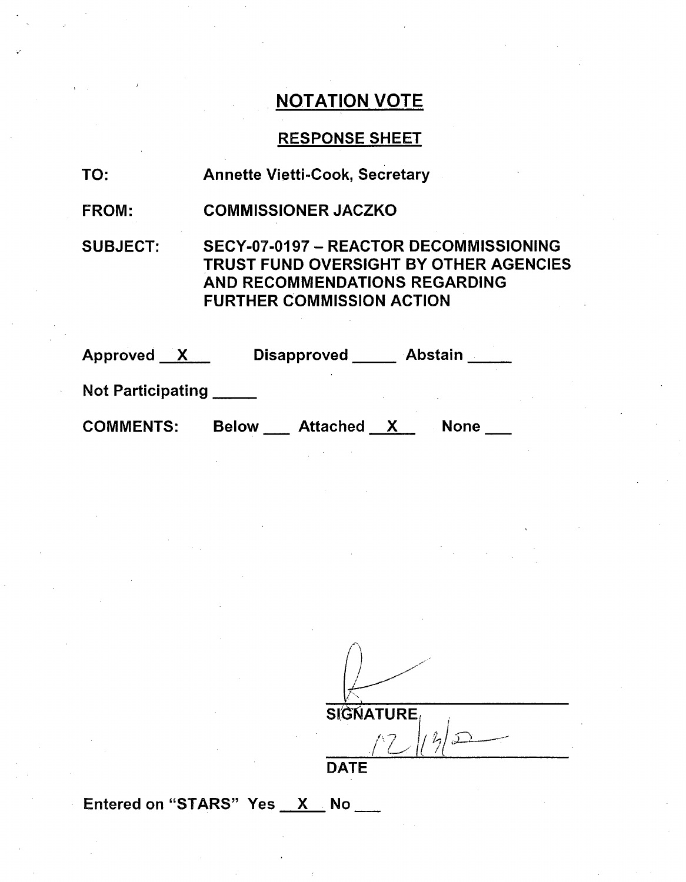# **NOTATION** VOTE

# **RESPONSE SHEET**

| <b>TO:</b>               | <b>Annette Vietti-Cook, Secretary</b>                                                                                                                 |
|--------------------------|-------------------------------------------------------------------------------------------------------------------------------------------------------|
| <b>FROM:</b>             | <b>COMMISSIONER JACZKO</b>                                                                                                                            |
| <b>SUBJECT:</b>          | SECY-07-0197 - REACTOR DECOMMISSIONING<br>TRUST FUND OVERSIGHT BY OTHER AGENCIES<br>AND RECOMMENDATIONS REGARDING<br><b>FURTHER COMMISSION ACTION</b> |
| Approved X               | Disapproved Abstain                                                                                                                                   |
| <b>Not Participating</b> |                                                                                                                                                       |
| <b>COMMENTS:</b>         | <b>Attached</b><br><b>Below</b><br>X<br><b>None</b>                                                                                                   |

 $S$ **GNATURE**  $|$ 1 2  $\sqrt{2}$ 

**DATE**

Entered on "STARS"  $Yes \_ X \_ No \_$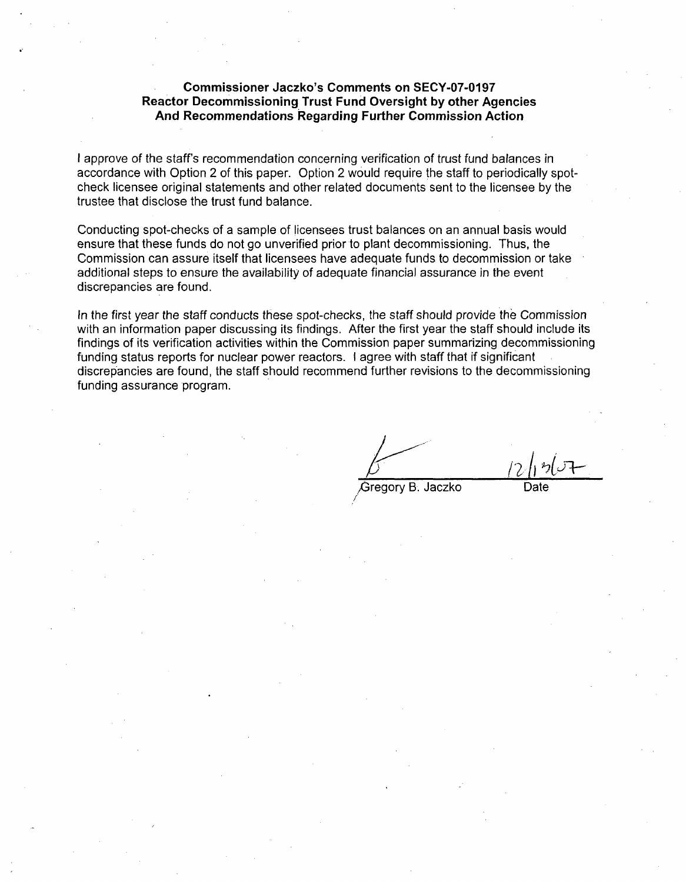#### **Commissioner Jaczko's Comments on SECY-07-0197 Reactor Decommissioning Trust Fund Oversight by other Agencies And Recommendations Regarding Further Commission Action**

**I** approve of the staff's recommendation concerning verification of trust fund balances in accordance with Option 2 of this paper. Option 2 would require the staff to periodically spotcheck licensee original statements and other related documents sent to the licensee **by** the trustee that disclose the trust fund balance.

Conducting spot-checks of a sample of licensees trust balances on an annual basis would ensure that these funds do not go unverified prior to plant decommissioning. Thus, the Commission can assure itself that licensees have adequate funds to decommission or take additional steps to ensure the availability of adequate financial assurance in the event discrepancies are found.

In the first year the staff conducts these spot-checks, the staff should provide the Commission with an information paper discussing its findings. After the first year the staff should include its findings of its verification activities within the Commission paper summarizing decommissioning funding status reports for nuclear power reactors. **I** agree with staff that if significant discrepancies are found, the staff should recommend further revisions to the decommissioning funding assurance program.

Gregory B. Jaczko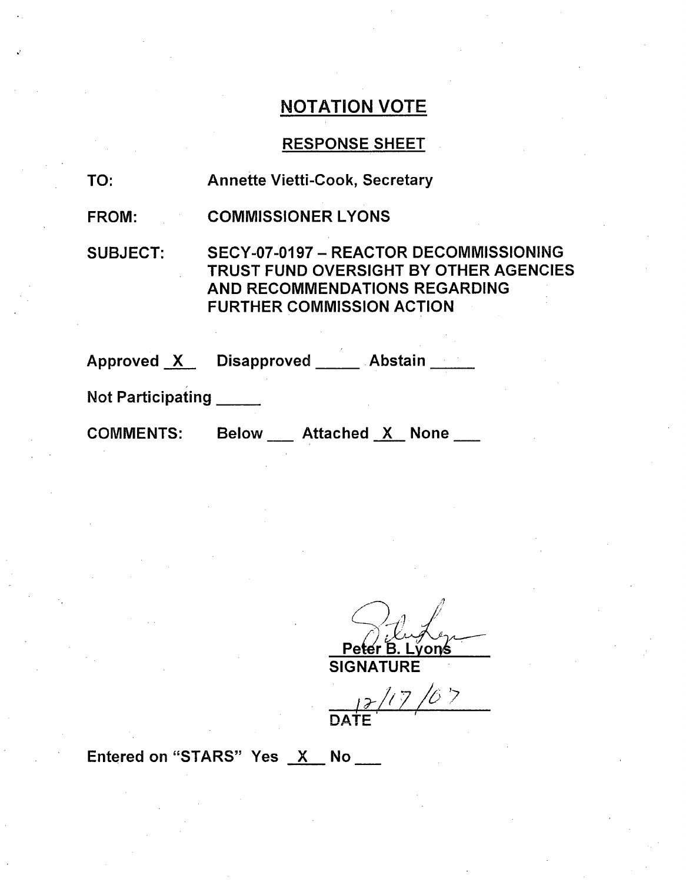# **NOTATION** VOTE

# **RESPONSE SHEET**

| TO:                      | <b>Annette Vietti-Cook, Secretary</b>                                                                                                                        |
|--------------------------|--------------------------------------------------------------------------------------------------------------------------------------------------------------|
| <b>FROM:</b>             | <b>COMMISSIONER LYONS</b>                                                                                                                                    |
| <b>SUBJECT:</b>          | SECY-07-0197 - REACTOR DECOMMISSIONING<br><b>TRUST FUND OVERSIGHT BY OTHER AGENCIES</b><br>AND RECOMMENDATIONS REGARDING<br><b>FURTHER COMMISSION ACTION</b> |
|                          | Approved X Disapproved ____ Abstain ____                                                                                                                     |
| <b>Not Participating</b> |                                                                                                                                                              |
| <b>COMMENTS:</b>         | <b>Attached X None</b><br><b>Below</b>                                                                                                                       |

Piluper

**SIGNATURE**

 $\frac{12}{12}$ 

Entered on "STARS" Yes  $X$  No \_\_